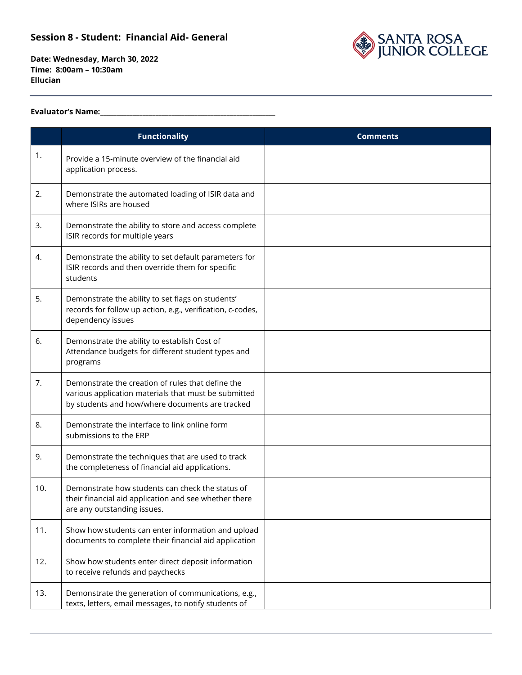

**Date: Wednesday, March 30, 2022 Time: 8:00am – 10:30am Ellucian**

#### **Evaluator's Name:\_\_\_\_\_\_\_\_\_\_\_\_\_\_\_\_\_\_\_\_\_\_\_\_\_\_\_\_\_\_\_\_\_\_\_\_\_\_\_\_\_\_\_\_\_\_\_\_\_\_\_\_\_\_**

|     | <b>Functionality</b>                                                                                                                                         | <b>Comments</b> |
|-----|--------------------------------------------------------------------------------------------------------------------------------------------------------------|-----------------|
| 1.  | Provide a 15-minute overview of the financial aid<br>application process.                                                                                    |                 |
| 2.  | Demonstrate the automated loading of ISIR data and<br>where ISIRs are housed                                                                                 |                 |
| 3.  | Demonstrate the ability to store and access complete<br>ISIR records for multiple years                                                                      |                 |
| 4.  | Demonstrate the ability to set default parameters for<br>ISIR records and then override them for specific<br>students                                        |                 |
| 5.  | Demonstrate the ability to set flags on students'<br>records for follow up action, e.g., verification, c-codes,<br>dependency issues                         |                 |
| 6.  | Demonstrate the ability to establish Cost of<br>Attendance budgets for different student types and<br>programs                                               |                 |
| 7.  | Demonstrate the creation of rules that define the<br>various application materials that must be submitted<br>by students and how/where documents are tracked |                 |
| 8.  | Demonstrate the interface to link online form<br>submissions to the ERP                                                                                      |                 |
| 9.  | Demonstrate the techniques that are used to track<br>the completeness of financial aid applications.                                                         |                 |
| 10. | Demonstrate how students can check the status of<br>their financial aid application and see whether there<br>are any outstanding issues.                     |                 |
| 11. | Show how students can enter information and upload<br>documents to complete their financial aid application                                                  |                 |
| 12. | Show how students enter direct deposit information<br>to receive refunds and paychecks                                                                       |                 |
| 13. | Demonstrate the generation of communications, e.g.,<br>texts, letters, email messages, to notify students of                                                 |                 |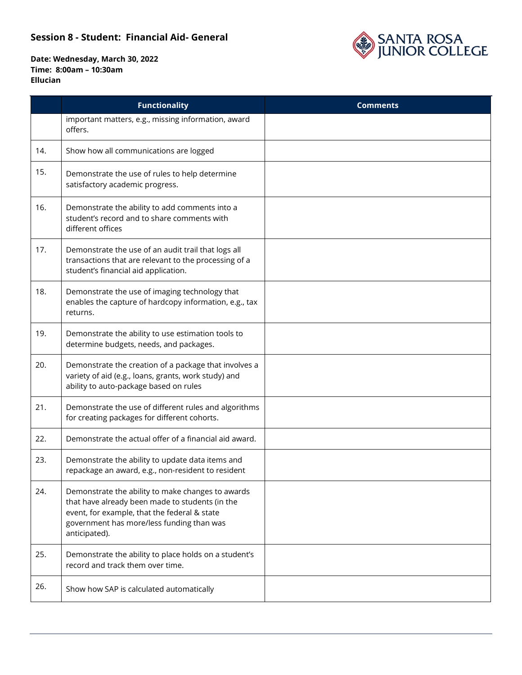

|     | <b>Functionality</b>                                                                                                                                                                                               | <b>Comments</b> |
|-----|--------------------------------------------------------------------------------------------------------------------------------------------------------------------------------------------------------------------|-----------------|
|     | important matters, e.g., missing information, award<br>offers.                                                                                                                                                     |                 |
| 14. | Show how all communications are logged                                                                                                                                                                             |                 |
| 15. | Demonstrate the use of rules to help determine<br>satisfactory academic progress.                                                                                                                                  |                 |
| 16. | Demonstrate the ability to add comments into a<br>student's record and to share comments with<br>different offices                                                                                                 |                 |
| 17. | Demonstrate the use of an audit trail that logs all<br>transactions that are relevant to the processing of a<br>student's financial aid application.                                                               |                 |
| 18. | Demonstrate the use of imaging technology that<br>enables the capture of hardcopy information, e.g., tax<br>returns.                                                                                               |                 |
| 19. | Demonstrate the ability to use estimation tools to<br>determine budgets, needs, and packages.                                                                                                                      |                 |
| 20. | Demonstrate the creation of a package that involves a<br>variety of aid (e.g., loans, grants, work study) and<br>ability to auto-package based on rules                                                            |                 |
| 21. | Demonstrate the use of different rules and algorithms<br>for creating packages for different cohorts.                                                                                                              |                 |
| 22. | Demonstrate the actual offer of a financial aid award.                                                                                                                                                             |                 |
| 23. | Demonstrate the ability to update data items and<br>repackage an award, e.g., non-resident to resident                                                                                                             |                 |
| 24. | Demonstrate the ability to make changes to awards<br>that have already been made to students (in the<br>event, for example, that the federal & state<br>government has more/less funding than was<br>anticipated). |                 |
| 25. | Demonstrate the ability to place holds on a student's<br>record and track them over time.                                                                                                                          |                 |
| 26. | Show how SAP is calculated automatically                                                                                                                                                                           |                 |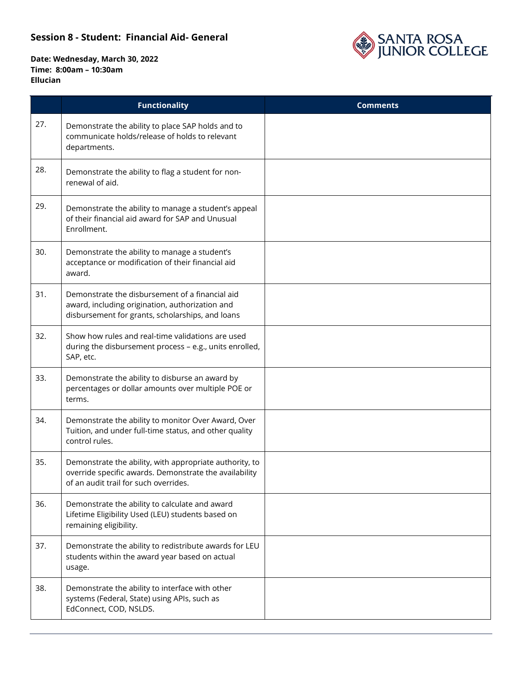

|     | <b>Functionality</b>                                                                                                                                       | <b>Comments</b> |
|-----|------------------------------------------------------------------------------------------------------------------------------------------------------------|-----------------|
| 27. | Demonstrate the ability to place SAP holds and to<br>communicate holds/release of holds to relevant<br>departments.                                        |                 |
| 28. | Demonstrate the ability to flag a student for non-<br>renewal of aid.                                                                                      |                 |
| 29. | Demonstrate the ability to manage a student's appeal<br>of their financial aid award for SAP and Unusual<br>Enrollment.                                    |                 |
| 30. | Demonstrate the ability to manage a student's<br>acceptance or modification of their financial aid<br>award.                                               |                 |
| 31. | Demonstrate the disbursement of a financial aid<br>award, including origination, authorization and<br>disbursement for grants, scholarships, and loans     |                 |
| 32. | Show how rules and real-time validations are used<br>during the disbursement process - e.g., units enrolled,<br>SAP, etc.                                  |                 |
| 33. | Demonstrate the ability to disburse an award by<br>percentages or dollar amounts over multiple POE or<br>terms.                                            |                 |
| 34. | Demonstrate the ability to monitor Over Award, Over<br>Tuition, and under full-time status, and other quality<br>control rules.                            |                 |
| 35. | Demonstrate the ability, with appropriate authority, to<br>override specific awards. Demonstrate the availability<br>of an audit trail for such overrides. |                 |
| 36. | Demonstrate the ability to calculate and award<br>Lifetime Eligibility Used (LEU) students based on<br>remaining eligibility.                              |                 |
| 37. | Demonstrate the ability to redistribute awards for LEU<br>students within the award year based on actual<br>usage.                                         |                 |
| 38. | Demonstrate the ability to interface with other<br>systems (Federal, State) using APIs, such as<br>EdConnect, COD, NSLDS.                                  |                 |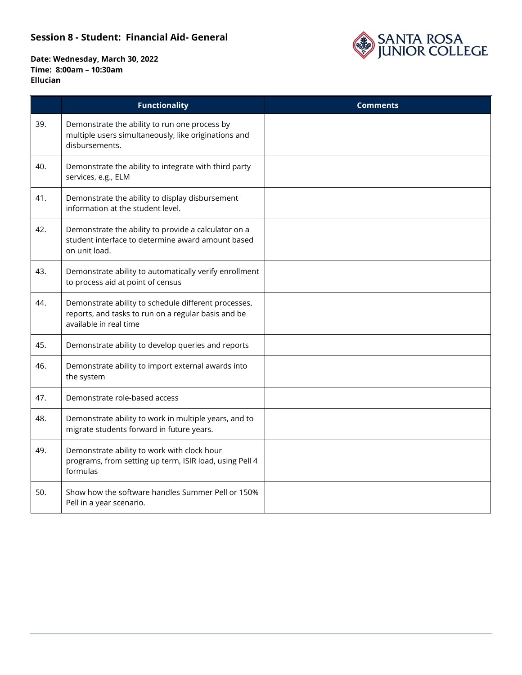

|     | <b>Functionality</b>                                                                                                                  | <b>Comments</b> |
|-----|---------------------------------------------------------------------------------------------------------------------------------------|-----------------|
| 39. | Demonstrate the ability to run one process by<br>multiple users simultaneously, like originations and<br>disbursements.               |                 |
| 40. | Demonstrate the ability to integrate with third party<br>services, e.g., ELM                                                          |                 |
| 41. | Demonstrate the ability to display disbursement<br>information at the student level.                                                  |                 |
| 42. | Demonstrate the ability to provide a calculator on a<br>student interface to determine award amount based<br>on unit load.            |                 |
| 43. | Demonstrate ability to automatically verify enrollment<br>to process aid at point of census                                           |                 |
| 44. | Demonstrate ability to schedule different processes,<br>reports, and tasks to run on a regular basis and be<br>available in real time |                 |
| 45. | Demonstrate ability to develop queries and reports                                                                                    |                 |
| 46. | Demonstrate ability to import external awards into<br>the system                                                                      |                 |
| 47. | Demonstrate role-based access                                                                                                         |                 |
| 48. | Demonstrate ability to work in multiple years, and to<br>migrate students forward in future years.                                    |                 |
| 49. | Demonstrate ability to work with clock hour<br>programs, from setting up term, ISIR load, using Pell 4<br>formulas                    |                 |
| 50. | Show how the software handles Summer Pell or 150%<br>Pell in a year scenario.                                                         |                 |